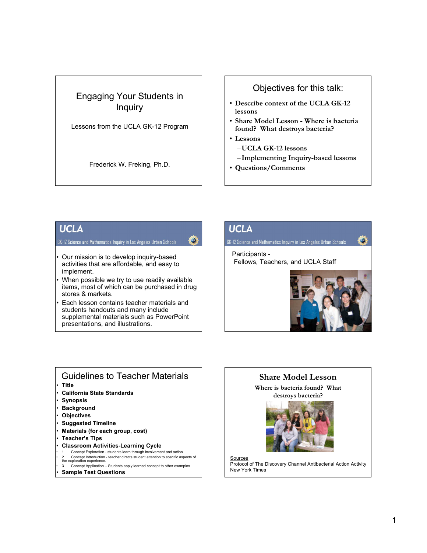# Engaging Your Students in Inquiry

Lessons from the UCLA GK-12 Program

Frederick W. Freking, Ph.D.

# Objectives for this talk:

- **Describe context of the UCLA GK-12 lessons**
- **Share Model Lesson Where is bacteria found? What destroys bacteria?**
- **Lessons**
	- –**UCLA GK-12 lessons**
	- **Implementing Inquiry-based lessons**
- **Questions/Comments**

# **UCLA**

#### GK-12 Science and Mathematics Inquiry in Los Angeles Urban Schools

- Our mission is to develop inquiry-based activities that are affordable, and easy to implement.
- When possible we try to use readily available items, most of which can be purchased in drug stores & markets.
- Each lesson contains teacher materials and students handouts and many include supplemental materials such as PowerPoint presentations, and illustrations.

# **UCLA**

GK-12 Science and Mathematics Inquiry in Los Angeles Urban Schools

Participants - Fellows, Teachers, and UCLA Staff



### Guidelines to Teacher Materials • **Title**

- **California State Standards**
- **Synopsis**
- **Background**
- **Objectives**
- **Suggested Timeline**
- **Materials (for each group, cost)**
- **Teacher's Tips**
- **Classroom Activities-Learning Cycle**
- 1. Concept Exploration students learn through involvement and action
- Concept Introduction teacher directs student attention to specific aspects of the exploration experience.
- 3. Concept Application Students apply learned concept to other examples • **Sample Test Questions**



**Sources** Protocol of The Discovery Channel Antibacterial Action Activity New York Times

**Share Model Lesson Where is bacteria found? What destroys bacteria?**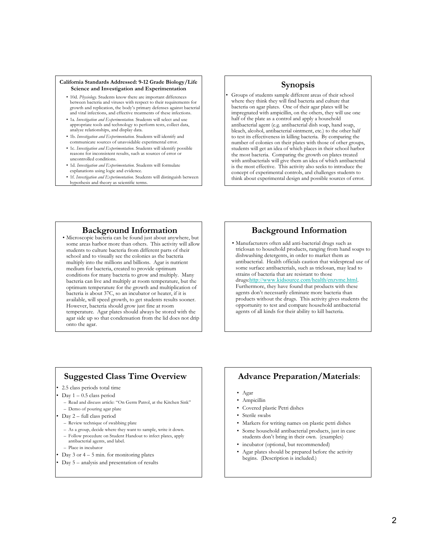#### **California Standards Addressed: 9-12 Grade Biology/Life Science and Investigation and Experimentation**

- 10d. *Physiology*. Students know there are important differences between bacteria and viruses with respect to their requirements for growth and replication, the body's primary defenses against bacterial and viral infections, and effective treatments of these infections.
- 1a. *Investigation and Experimentation.* Students will select and use appropriate tools and technology to perform tests, collect data, analyze relationships, and display data.
- 1b. *Investigation and Experimentation.* Students will identify and communicate sources of unavoidable experimental error.
- 1c. *Investigation and Experimentation.* Students will identify possible reasons for inconsistent results, such as sources of error or uncontrolled conditions.
- 1d. *Investigation and Experimentation.* Students will formulate explanations using logic and evidence.
- 1f. *Investigation and Experimentation.* Students will distinguish between hypothesis and theory as scientific terms.

#### **Synopsis**

• Groups of students sample different areas of their school where they think they will find bacteria and culture that bacteria on agar plates. One of their agar plates will be impregnated with ampicillin, on the others, they will use one half of the plate as a control and apply a household antibacterial agent (e.g. antibacterial dish soap, hand soap, bleach, alcohol, antibacterial ointment, etc.) to the other half to test its effectiveness in killing bacteria. By comparing the number of colonies on their plates with those of other groups, students will get an idea of which places in their school harbor the most bacteria. Comparing the growth on plates treated with antibacterials will give them an idea of which antibacterial is the most effective. This activity also seeks to introduce the concept of experimental controls, and challenges students to think about experimental design and possible sources of error.

**Background Information** • Microscopic bacteria can be found just about anywhere, but some areas harbor more than others. This activity will allow students to culture bacteria from different parts of their school and to visually see the colonies as the bacteria multiply into the millions and billions. Agar is nutrient medium for bacteria, created to provide optimum conditions for many bacteria to grow and multiply. Many bacteria can live and multiply at room temperature, but the optimum temperature for the growth and multiplication of bacteria is about 37C, so an incubator or heater, if it is available, will speed growth, to get students results sooner. However, bacteria should grow just fine at room temperature. Agar plates should always be stored with the agar side up so that condensation from the lid does not drip onto the agar.

# **Background Information**

• Manufacturers often add anti-bacterial drugs such as triclosan to household products, ranging from hand soaps to dishwashing detergents, in order to market them as antibacterial. Health officials caution that widespread use of some surface antibacterials, such as triclosan, may lead to strains of bacteria that are resistant to those drugs:http://www.kidsource.com/health/enzyme.html. Furthermore, they have found that products with these agents don't necessarily eliminate more bacteria than products without the drugs. This activity gives students the opportunity to test and compare household antibacterial agents of all kinds for their ability to kill bacteria.

### **Suggested Class Time Overview**

- 2.5 class periods total time
- Day  $1 0.5$  class period
	- Read and discuss article: "On Germ Patrol, at the Kitchen Sink"
	- Demo of pouring agar plate
- Day 2 full class period
- Review technique of swabbing plate
- As a group, decide where they want to sample, write it down.
- Follow procedure on Student Handout to infect plates, apply antibacterial agents, and label.
- Place in incubator
- Day 3 or  $4 5$  min. for monitoring plates
- Day 5 analysis and presentation of results

# **Advance Preparation/Materials**:

- Agar
- Ampicillin
- Covered plastic Petri dishes
- Sterile swabs
- Markers for writing names on plastic petri dishes
- Some household antibacterial products, just in case students don't bring in their own. (examples)
- incubator (optional, but recommended)
- Agar plates should be prepared before the activity begins. (Description is included.)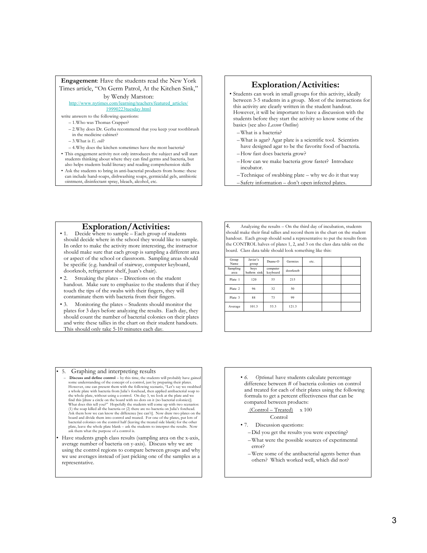#### **Engagement**: Have the students read the New York Times article, "On Germ Patrol, At the Kitchen Sink," by Wendy Marston:

#### http://www.nytimes.com/learning/teachers/featured\_articles/

19990223tuesday.html

- write answers to the following questions:
	- 1.Who was Thomas Crapper?
	- 2.Why does Dr. Gerba recommend that you keep your toothbrush in the medicine cabinet? – 3.What is *E. coli*?
	-
- 4.Why does the kitchen sometimes have the most bacteria?
- This engagement activity not only introduces the subject and will start students thinking about where they can find germs and bacteria, but
- also helps students build literacy and reading comprehension skills
- Ask the students to bring in anti-bacterial products from home: these can include hand-soaps, dishwashing soaps, germicidal gels, antibiotic ointment, disinfectant spray, bleach, alcohol, etc.

#### **Exploration/Activities:**

- Students can work in small groups for this activity, ideally between 3-5 students in a group. Most of the instructions for this activity are clearly written in the student handout. However, it will be important to have a discussion with the students before they start the activity so know some of the basics (see also *Lesson Outline*)
	- –What is a bacteria?
	- –What is agar? Agar plate is a scientific tool. Scientists have designed agar to be the favorite food of bacteria.
	- –How fast does bacteria grow?
	- –How can we make bacteria grow faster? Introduce incubator.
	- –Technique of swabbing plate why we do it that way
	- Safety information don't open infected plates.

- **Exploration/Activities:**<br>
1. Decide where to sample Each group of students should decide where in the school they would like to sample. In order to make the activity more interesting, the instructor should make sure that each group is sampling a different area or aspect of the school or classroom. Sampling areas should be specific (e.g. handrail of stairway, computer keyboard, doorknob, refrigerator shelf, Juan's chair).
- Streaking the plates Directions on the student handout. Make sure to emphasize to the students that if they touch the tips of the swabs with their fingers, they will contaminate them with bacteria from their fingers.
- Monitoring the plates Students should monitor the plates for 3 days before analyzing the results. Each day, they should count the number of bacterial colonies on their plates and write these tallies in the chart on their student handouts. This should only take 5-10 minutes each day.

4. Analyzing the results – On the third day of incubation, students should make their final tallies and record them in the chart on the student handout. Each group should send a representative to put the results from the CONTROL halves of plates 1, 2, and 3 on the class data table on the board. Class data table should look something like this:

| Sampling<br>boys<br>computer<br>doorknob<br>keyboard<br>bathrm sink<br>area<br>55<br>215<br>120<br>Plate 1<br>Plate 2<br>96<br>32<br>50<br>88<br>73<br>Plate 3<br>99<br>101.3<br>53.3<br>121.3<br>Average | Group<br>Name | Javier's<br>group | Duane-O | Germies | etc. |  |
|-----------------------------------------------------------------------------------------------------------------------------------------------------------------------------------------------------------|---------------|-------------------|---------|---------|------|--|
|                                                                                                                                                                                                           |               |                   |         |         |      |  |
|                                                                                                                                                                                                           |               |                   |         |         |      |  |
|                                                                                                                                                                                                           |               |                   |         |         |      |  |
|                                                                                                                                                                                                           |               |                   |         |         |      |  |
|                                                                                                                                                                                                           |               |                   |         |         |      |  |
|                                                                                                                                                                                                           |               |                   |         |         |      |  |

- *6. Optional*: have students calculate percentage difference between # of bacteria colonies on control and treated for each of their plates using the following formula to get a percent effectiveness that can be compared between products:
	- (Control Treated) x 100

#### Control

- 7. Discussion questions:
	- –Did you get the results you were expecting?
	- –What were the possible sources of experimental error?
	- –Were some of the antibacterial agents better than others? Which worked well, which did not?

#### • 5. Graphing and interpreting results

- **Discuss and define control** by this time, the students will probably have gained some understanding of the concept of a control, just by preparing their plates.<br>However, one can present them with the following scenario, "Let's say we swabbed<br>a whole plate with bacteria from Julia's forehead, then appli the whole plate, without using a control. On day 3, we look at the plate and we find this [draw a circle on the board with no dots on it (no bacterial colonies)]. What does this tell you?" Hopefully the students will come board and divide them into control and treated. For one of the plates, put lots of<br>bacterial colonies on the control half (leaving the treated side blank) for the other<br>plate, leave the whole plate blank – ask the students ask them what the purpose of a control is.
- Have students graph class results (sampling area on the x-axis, average number of bacteria on y-axis). Discuss why we are using the control regions to compare between groups and why we use averages instead of just picking one of the samples as a representative.